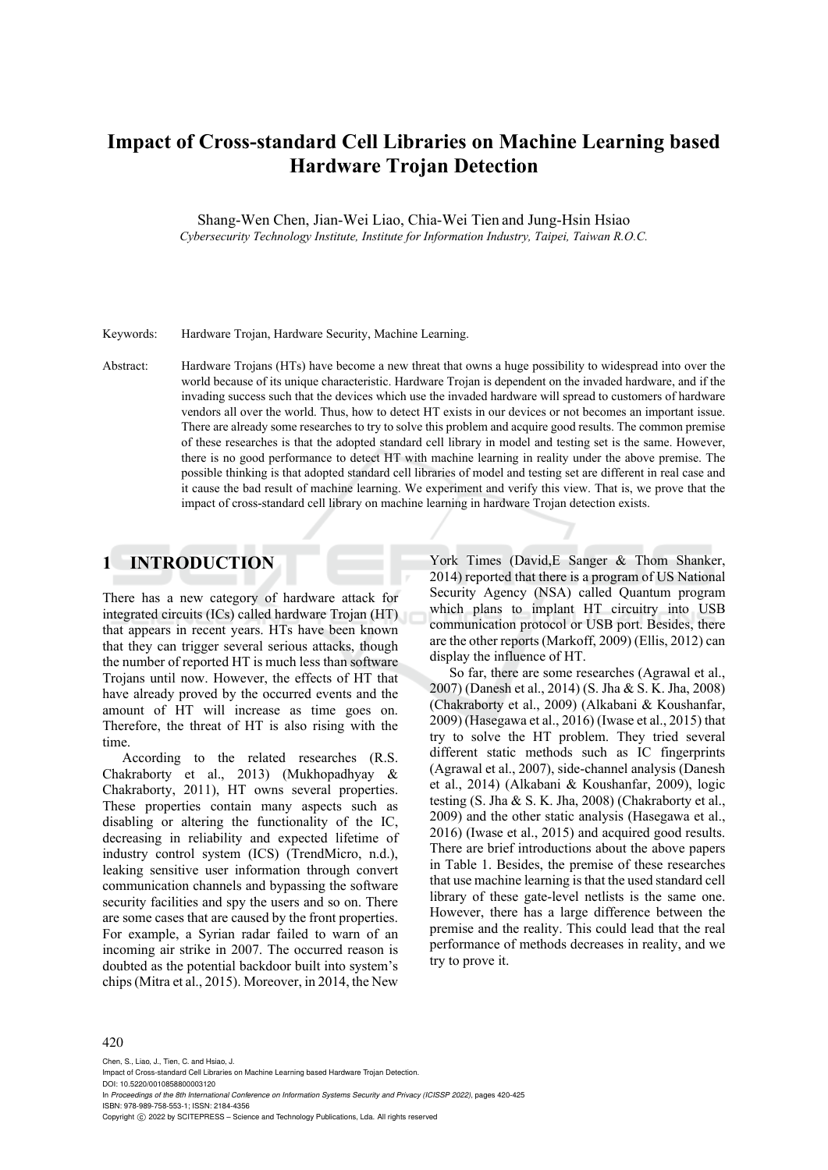# **Impact of Cross-standard Cell Libraries on Machine Learning based Hardware Trojan Detection**

Shang-Wen Chen, Jian-Wei Liao, Chia-Wei Tien and Jung-Hsin Hsiao *Cybersecurity Technology Institute, Institute for Information Industry, Taipei, Taiwan R.O.C.* 

### Keywords: Hardware Trojan, Hardware Security, Machine Learning.

Abstract: Hardware Trojans (HTs) have become a new threat that owns a huge possibility to widespread into over the world because of its unique characteristic. Hardware Trojan is dependent on the invaded hardware, and if the invading success such that the devices which use the invaded hardware will spread to customers of hardware vendors all over the world. Thus, how to detect HT exists in our devices or not becomes an important issue. There are already some researches to try to solve this problem and acquire good results. The common premise of these researches is that the adopted standard cell library in model and testing set is the same. However, there is no good performance to detect HT with machine learning in reality under the above premise. The possible thinking is that adopted standard cell libraries of model and testing set are different in real case and it cause the bad result of machine learning. We experiment and verify this view. That is, we prove that the impact of cross-standard cell library on machine learning in hardware Trojan detection exists.

# **1 INTRODUCTION**

There has a new category of hardware attack for integrated circuits (ICs) called hardware Trojan (HT) that appears in recent years. HTs have been known that they can trigger several serious attacks, though the number of reported HT is much less than software Trojans until now. However, the effects of HT that have already proved by the occurred events and the amount of HT will increase as time goes on. Therefore, the threat of HT is also rising with the time.

According to the related researches (R.S. Chakraborty et al., 2013) (Mukhopadhyay & Chakraborty, 2011), HT owns several properties. These properties contain many aspects such as disabling or altering the functionality of the IC, decreasing in reliability and expected lifetime of industry control system (ICS) (TrendMicro, n.d.), leaking sensitive user information through convert communication channels and bypassing the software security facilities and spy the users and so on. There are some cases that are caused by the front properties. For example, a Syrian radar failed to warn of an incoming air strike in 2007. The occurred reason is doubted as the potential backdoor built into system's chips (Mitra et al., 2015). Moreover, in 2014, the New

York Times (David,E Sanger & Thom Shanker, 2014) reported that there is a program of US National Security Agency (NSA) called Quantum program which plans to implant HT circuitry into USB communication protocol or USB port. Besides, there are the other reports (Markoff, 2009) (Ellis, 2012) can display the influence of HT.

So far, there are some researches (Agrawal et al., 2007) (Danesh et al., 2014) (S. Jha & S. K. Jha, 2008) (Chakraborty et al., 2009) (Alkabani & Koushanfar, 2009) (Hasegawa et al., 2016) (Iwase et al., 2015) that try to solve the HT problem. They tried several different static methods such as IC fingerprints (Agrawal et al., 2007), side-channel analysis (Danesh et al., 2014) (Alkabani & Koushanfar, 2009), logic testing (S. Jha & S. K. Jha, 2008) (Chakraborty et al., 2009) and the other static analysis (Hasegawa et al., 2016) (Iwase et al., 2015) and acquired good results. There are brief introductions about the above papers in Table 1. Besides, the premise of these researches that use machine learning is that the used standard cell library of these gate-level netlists is the same one. However, there has a large difference between the premise and the reality. This could lead that the real performance of methods decreases in reality, and we try to prove it.

#### 420

Chen, S., Liao, J., Tien, C. and Hsiao, J. Impact of Cross-standard Cell Libraries on Machine Learning based Hardware Trojan Detection. DOI: 10.5220/0010858800003120 In *Proceedings of the 8th International Conference on Information Systems Security and Privacy (ICISSP 2022)*, pages 420-425 ISBN: 978-989-758-553-1; ISSN: 2184-4356 Copyright (C) 2022 by SCITEPRESS - Science and Technology Publications, Lda. All rights reserved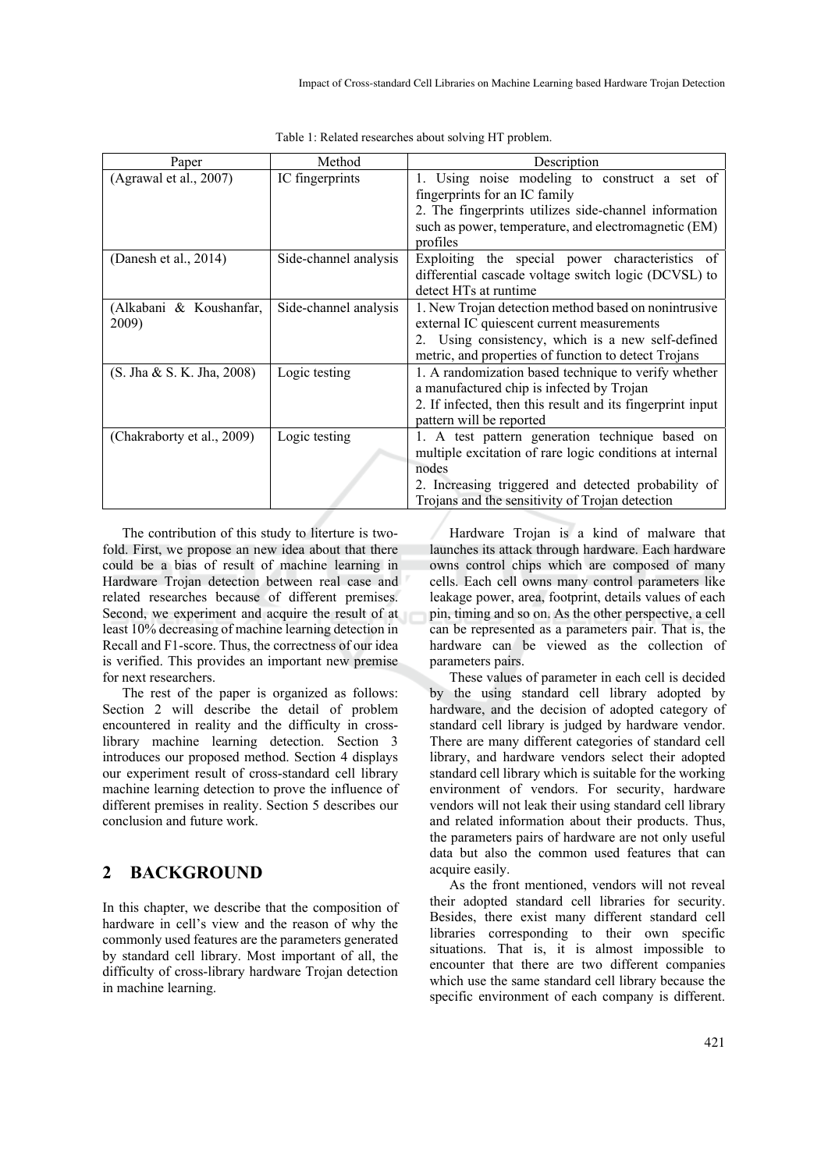| Paper                            | Method                | Description                                                                                                                                                                                                                    |  |
|----------------------------------|-----------------------|--------------------------------------------------------------------------------------------------------------------------------------------------------------------------------------------------------------------------------|--|
| (Agrawal et al., 2007)           | IC fingerprints       | 1. Using noise modeling to construct a set of<br>fingerprints for an IC family<br>2. The fingerprints utilizes side-channel information<br>such as power, temperature, and electromagnetic (EM)                                |  |
|                                  |                       | profiles                                                                                                                                                                                                                       |  |
| (Danesh et al., $2014$ )         | Side-channel analysis | Exploiting the special power characteristics of<br>differential cascade voltage switch logic (DCVSL) to<br>detect HTs at runtime                                                                                               |  |
| (Alkabani & Koushanfar,<br>2009) | Side-channel analysis | 1. New Trojan detection method based on nonintrusive<br>external IC quiescent current measurements<br>2. Using consistency, which is a new self-defined<br>metric, and properties of function to detect Trojans                |  |
| (S. Jha & S. K. Jha, 2008)       | Logic testing         | 1. A randomization based technique to verify whether<br>a manufactured chip is infected by Trojan<br>2. If infected, then this result and its fingerprint input<br>pattern will be reported                                    |  |
| (Chakraborty et al., 2009)       | Logic testing         | 1. A test pattern generation technique based on<br>multiple excitation of rare logic conditions at internal<br>nodes<br>2. Increasing triggered and detected probability of<br>Trojans and the sensitivity of Trojan detection |  |

Table 1: Related researches about solving HT problem.

The contribution of this study to literture is twofold. First, we propose an new idea about that there could be a bias of result of machine learning in Hardware Trojan detection between real case and related researches because of different premises. Second, we experiment and acquire the result of at least 10% decreasing of machine learning detection in Recall and F1-score. Thus, the correctness of our idea is verified. This provides an important new premise for next researchers.

The rest of the paper is organized as follows: Section 2 will describe the detail of problem encountered in reality and the difficulty in crosslibrary machine learning detection. Section 3 introduces our proposed method. Section 4 displays our experiment result of cross-standard cell library machine learning detection to prove the influence of different premises in reality. Section 5 describes our conclusion and future work.

# **2 BACKGROUND**

In this chapter, we describe that the composition of hardware in cell's view and the reason of why the commonly used features are the parameters generated by standard cell library. Most important of all, the difficulty of cross-library hardware Trojan detection in machine learning.

Hardware Trojan is a kind of malware that launches its attack through hardware. Each hardware owns control chips which are composed of many cells. Each cell owns many control parameters like leakage power, area, footprint, details values of each pin, timing and so on. As the other perspective, a cell can be represented as a parameters pair. That is, the hardware can be viewed as the collection of parameters pairs.

These values of parameter in each cell is decided by the using standard cell library adopted by hardware, and the decision of adopted category of standard cell library is judged by hardware vendor. There are many different categories of standard cell library, and hardware vendors select their adopted standard cell library which is suitable for the working environment of vendors. For security, hardware vendors will not leak their using standard cell library and related information about their products. Thus, the parameters pairs of hardware are not only useful data but also the common used features that can acquire easily.

As the front mentioned, vendors will not reveal their adopted standard cell libraries for security. Besides, there exist many different standard cell libraries corresponding to their own specific situations. That is, it is almost impossible to encounter that there are two different companies which use the same standard cell library because the specific environment of each company is different.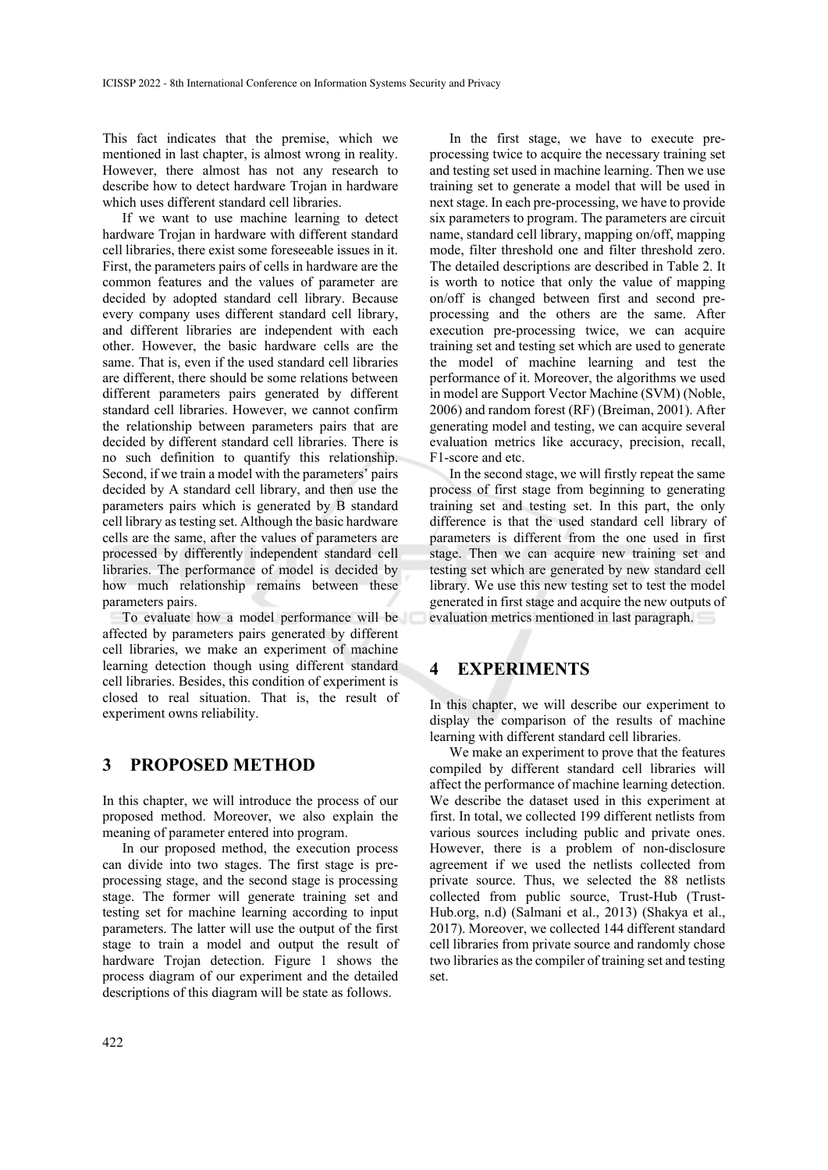This fact indicates that the premise, which we mentioned in last chapter, is almost wrong in reality. However, there almost has not any research to describe how to detect hardware Trojan in hardware which uses different standard cell libraries.

If we want to use machine learning to detect hardware Trojan in hardware with different standard cell libraries, there exist some foreseeable issues in it. First, the parameters pairs of cells in hardware are the common features and the values of parameter are decided by adopted standard cell library. Because every company uses different standard cell library, and different libraries are independent with each other. However, the basic hardware cells are the same. That is, even if the used standard cell libraries are different, there should be some relations between different parameters pairs generated by different standard cell libraries. However, we cannot confirm the relationship between parameters pairs that are decided by different standard cell libraries. There is no such definition to quantify this relationship. Second, if we train a model with the parameters' pairs decided by A standard cell library, and then use the parameters pairs which is generated by B standard cell library as testing set. Although the basic hardware cells are the same, after the values of parameters are processed by differently independent standard cell libraries. The performance of model is decided by how much relationship remains between these parameters pairs.

To evaluate how a model performance will be affected by parameters pairs generated by different cell libraries, we make an experiment of machine learning detection though using different standard cell libraries. Besides, this condition of experiment is closed to real situation. That is, the result of experiment owns reliability.

### **3 PROPOSED METHOD**

In this chapter, we will introduce the process of our proposed method. Moreover, we also explain the meaning of parameter entered into program.

In our proposed method, the execution process can divide into two stages. The first stage is preprocessing stage, and the second stage is processing stage. The former will generate training set and testing set for machine learning according to input parameters. The latter will use the output of the first stage to train a model and output the result of hardware Trojan detection. Figure 1 shows the process diagram of our experiment and the detailed descriptions of this diagram will be state as follows.

In the first stage, we have to execute preprocessing twice to acquire the necessary training set and testing set used in machine learning. Then we use training set to generate a model that will be used in next stage. In each pre-processing, we have to provide six parameters to program. The parameters are circuit name, standard cell library, mapping on/off, mapping mode, filter threshold one and filter threshold zero. The detailed descriptions are described in Table 2. It is worth to notice that only the value of mapping on/off is changed between first and second preprocessing and the others are the same. After execution pre-processing twice, we can acquire training set and testing set which are used to generate the model of machine learning and test the performance of it. Moreover, the algorithms we used in model are Support Vector Machine (SVM) (Noble, 2006) and random forest (RF) (Breiman, 2001). After generating model and testing, we can acquire several evaluation metrics like accuracy, precision, recall, F1-score and etc.

In the second stage, we will firstly repeat the same process of first stage from beginning to generating training set and testing set. In this part, the only difference is that the used standard cell library of parameters is different from the one used in first stage. Then we can acquire new training set and testing set which are generated by new standard cell library. We use this new testing set to test the model generated in first stage and acquire the new outputs of evaluation metrics mentioned in last paragraph.

# **4 EXPERIMENTS**

In this chapter, we will describe our experiment to display the comparison of the results of machine learning with different standard cell libraries.

We make an experiment to prove that the features compiled by different standard cell libraries will affect the performance of machine learning detection. We describe the dataset used in this experiment at first. In total, we collected 199 different netlists from various sources including public and private ones. However, there is a problem of non-disclosure agreement if we used the netlists collected from private source. Thus, we selected the 88 netlists collected from public source, Trust-Hub (Trust-Hub.org, n.d) (Salmani et al., 2013) (Shakya et al., 2017). Moreover, we collected 144 different standard cell libraries from private source and randomly chose two libraries as the compiler of training set and testing set.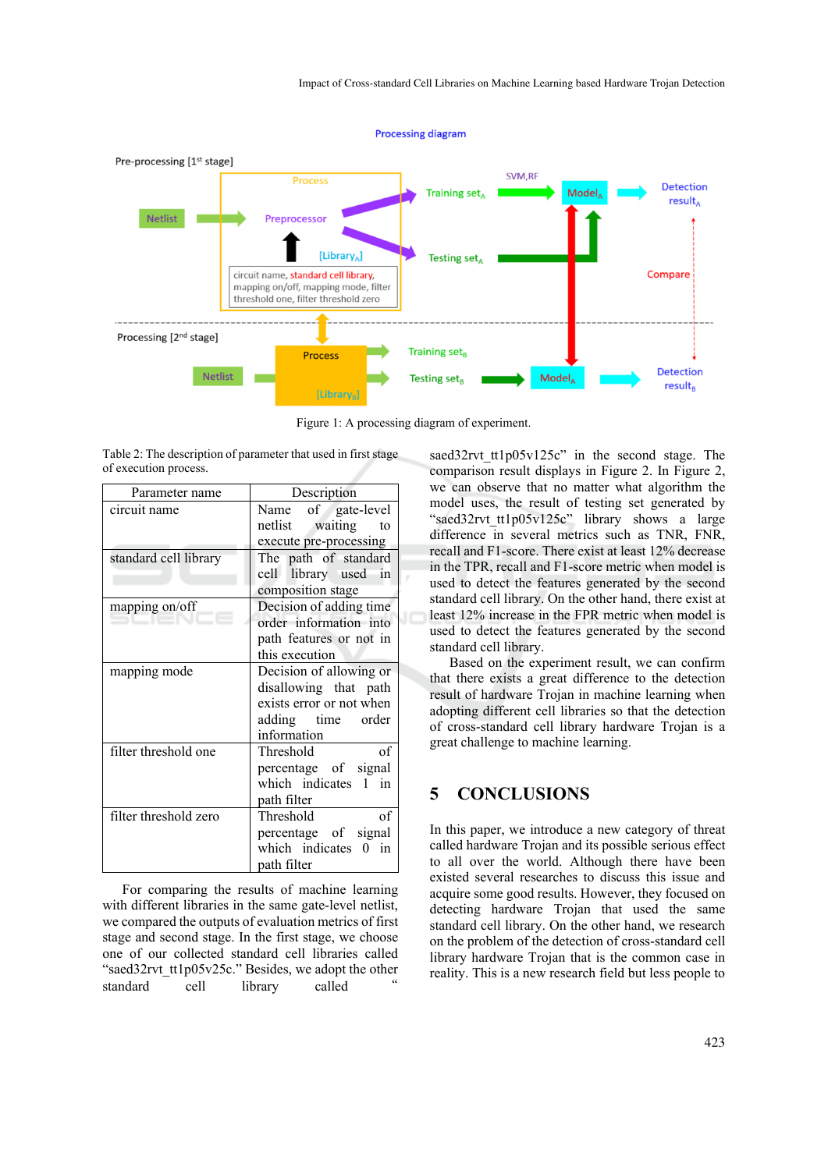

Figure 1: A processing diagram of experiment.

Table 2: The description of parameter that used in first stage of execution process.

| Parameter name        | Description                                                                                                      |  |
|-----------------------|------------------------------------------------------------------------------------------------------------------|--|
| circuit name          | Name of gate-level<br>netlist waiting<br>to                                                                      |  |
|                       | execute pre-processing                                                                                           |  |
| standard cell library | The path of standard<br>cell library used in                                                                     |  |
|                       | composition stage                                                                                                |  |
| mapping on/off        | Decision of adding time<br>order information into                                                                |  |
|                       | path features or not in<br>this execution                                                                        |  |
| mapping mode          | Decision of allowing or<br>disallowing that path<br>exists error or not when<br>adding time order<br>information |  |
| filter threshold one  | of<br>Threshold<br>percentage of signal<br>which indicates 1 in<br>path filter                                   |  |
| filter threshold zero | Threshold<br>of<br>percentage of signal<br>which indicates 0 in<br>path filter                                   |  |

For comparing the results of machine learning with different libraries in the same gate-level netlist, we compared the outputs of evaluation metrics of first stage and second stage. In the first stage, we choose one of our collected standard cell libraries called "saed32rvt\_tt1p05v25c." Besides, we adopt the other standard cell library called

saed32rvt tt1p05v125c" in the second stage. The comparison result displays in Figure 2. In Figure 2, we can observe that no matter what algorithm the model uses, the result of testing set generated by "saed32rvt tt1p05v125c" library shows a large difference in several metrics such as TNR, FNR, recall and F1-score. There exist at least 12% decrease in the TPR, recall and F1-score metric when model is used to detect the features generated by the second standard cell library. On the other hand, there exist at least 12% increase in the FPR metric when model is used to detect the features generated by the second standard cell library.

Based on the experiment result, we can confirm that there exists a great difference to the detection result of hardware Trojan in machine learning when adopting different cell libraries so that the detection of cross-standard cell library hardware Trojan is a great challenge to machine learning.

## **5 CONCLUSIONS**

In this paper, we introduce a new category of threat called hardware Trojan and its possible serious effect to all over the world. Although there have been existed several researches to discuss this issue and acquire some good results. However, they focused on detecting hardware Trojan that used the same standard cell library. On the other hand, we research on the problem of the detection of cross-standard cell library hardware Trojan that is the common case in reality. This is a new research field but less people to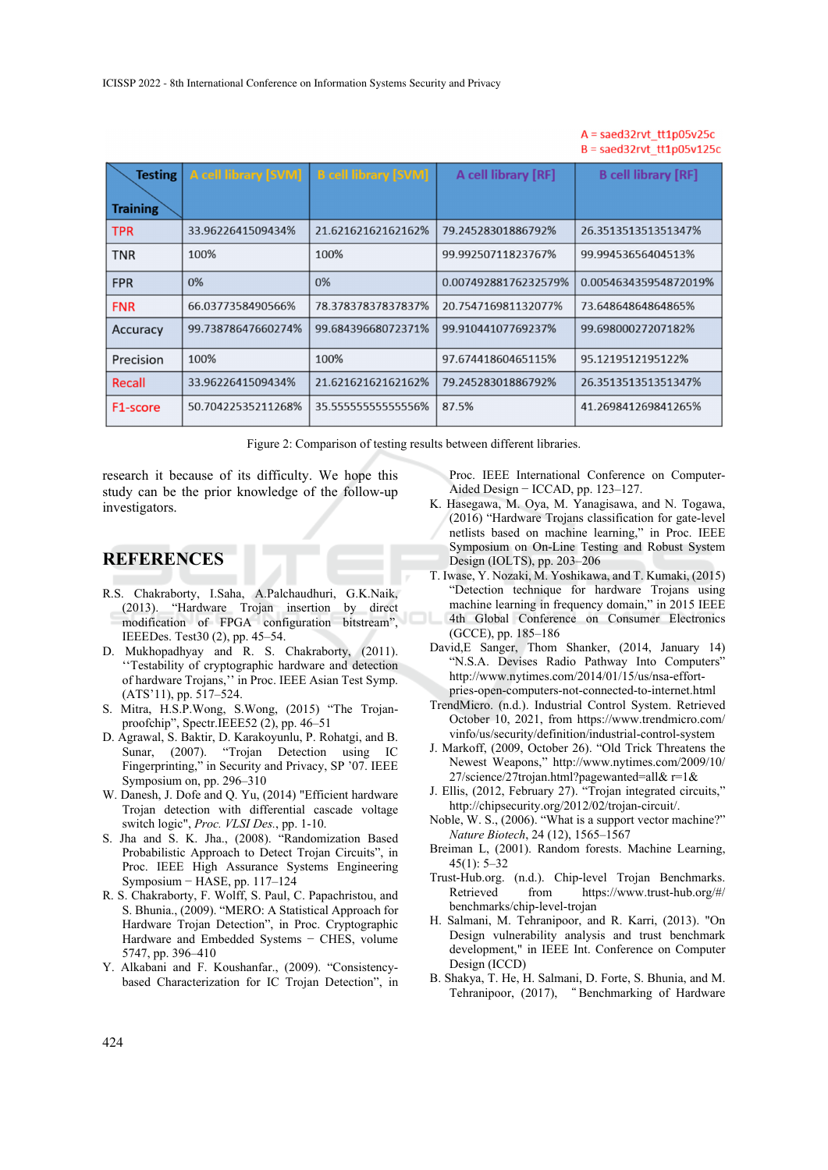### $A =$ saed32rvt tt1p05v25c  $B =$ saed32rvt tt1p05v125c

| <b>Testing</b>        | <b>A cell library [SVM]</b> | <b>B</b> cell library [SVM] | A cell library [RF]  | <b>B</b> cell library [RF] |
|-----------------------|-----------------------------|-----------------------------|----------------------|----------------------------|
| <b>Training</b>       |                             |                             |                      |                            |
| <b>TPR</b>            | 33.9622641509434%           | 21.62162162162162%          | 79.24528301886792%   | 26.351351351351347%        |
| <b>TNR</b>            | 100%                        | 100%                        | 99.99250711823767%   | 99.99453656404513%         |
| <b>FPR</b>            | 0%                          | 0%                          | 0.00749288176232579% | 0.005463435954872019%      |
| <b>FNR</b>            | 66.0377358490566%           | 78.37837837837837%          | 20.754716981132077%  | 73.64864864864865%         |
| Accuracy              | 99.73878647660274%          | 99.68439668072371%          | 99.91044107769237%   | 99.69800027207182%         |
| Precision             | 100%                        | 100%                        | 97.67441860465115%   | 95.1219512195122%          |
| Recall                | 33.9622641509434%           | 21.62162162162162%          | 79.24528301886792%   | 26.351351351351347%        |
| F <sub>1</sub> -score | 50.70422535211268%          | 35.5555555555556%           | 87.5%                | 41.269841269841265%        |

Figure 2: Comparison of testing results between different libraries.

research it because of its difficulty. We hope this study can be the prior knowledge of the follow-up investigators.

# **REFERENCES**

- R.S. Chakraborty, I.Saha, A.Palchaudhuri, G.K.Naik, (2013). "Hardware Trojan insertion by direct modification of FPGA configuration bitstream", IEEEDes. Test30 (2), pp. 45–54.
- D. Mukhopadhyay and R. S. Chakraborty, (2011). ''Testability of cryptographic hardware and detection of hardware Trojans,'' in Proc. IEEE Asian Test Symp. (ATS'11), pp. 517–524.
- S. Mitra, H.S.P.Wong, S.Wong, (2015) "The Trojanproofchip", Spectr.IEEE52 (2), pp. 46–51
- D. Agrawal, S. Baktir, D. Karakoyunlu, P. Rohatgi, and B. Sunar, (2007). "Trojan Detection using IC Fingerprinting," in Security and Privacy, SP '07. IEEE Symposium on, pp. 296–310
- W. Danesh, J. Dofe and Q. Yu, (2014) "Efficient hardware Trojan detection with differential cascade voltage switch logic", *Proc. VLSI Des.*, pp. 1-10.
- S. Jha and S. K. Jha., (2008). "Randomization Based Probabilistic Approach to Detect Trojan Circuits", in Proc. IEEE High Assurance Systems Engineering Symposium − HASE, pp. 117–124
- R. S. Chakraborty, F. Wolff, S. Paul, C. Papachristou, and S. Bhunia., (2009). "MERO: A Statistical Approach for Hardware Trojan Detection", in Proc. Cryptographic Hardware and Embedded Systems − CHES, volume 5747, pp. 396–410
- Y. Alkabani and F. Koushanfar., (2009). "Consistencybased Characterization for IC Trojan Detection", in

Proc. IEEE International Conference on Computer-Aided Design − ICCAD, pp. 123–127.

- K. Hasegawa, M. Oya, M. Yanagisawa, and N. Togawa, (2016) "Hardware Trojans classification for gate-level netlists based on machine learning," in Proc. IEEE Symposium on On-Line Testing and Robust System Design (IOLTS), pp. 203–206
- T. Iwase, Y. Nozaki, M. Yoshikawa, and T. Kumaki, (2015) "Detection technique for hardware Trojans using machine learning in frequency domain," in 2015 IEEE 4th Global Conference on Consumer Electronics (GCCE), pp. 185–186
- David,E Sanger, Thom Shanker, (2014, January 14) "N.S.A. Devises Radio Pathway Into Computers" http://www.nytimes.com/2014/01/15/us/nsa-effortpries-open-computers-not-connected-to-internet.html
- TrendMicro. (n.d.). Industrial Control System. Retrieved October 10, 2021, from https://www.trendmicro.com/ vinfo/us/security/definition/industrial-control-system
- J. Markoff, (2009, October 26). "Old Trick Threatens the Newest Weapons," http://www.nytimes.com/2009/10/ 27/science/27trojan.html?pagewanted=all& r=1&
- J. Ellis, (2012, February 27). "Trojan integrated circuits," http://chipsecurity.org/2012/02/trojan-circuit/.
- Noble, W. S., (2006). "What is a support vector machine?" *Nature Biotech*, 24 (12), 1565–1567
- Breiman L, (2001). Random forests. Machine Learning, 45(1): 5–32
- Trust-Hub.org. (n.d.). Chip-level Trojan Benchmarks. Retrieved from https://www.trust-hub.org/#/ benchmarks/chip-level-trojan
- H. Salmani, M. Tehranipoor, and R. Karri, (2013). "On Design vulnerability analysis and trust benchmark development," in IEEE Int. Conference on Computer Design (ICCD)
- B. Shakya, T. He, H. Salmani, D. Forte, S. Bhunia, and M. Tehranipoor, (2017), " Benchmarking of Hardware